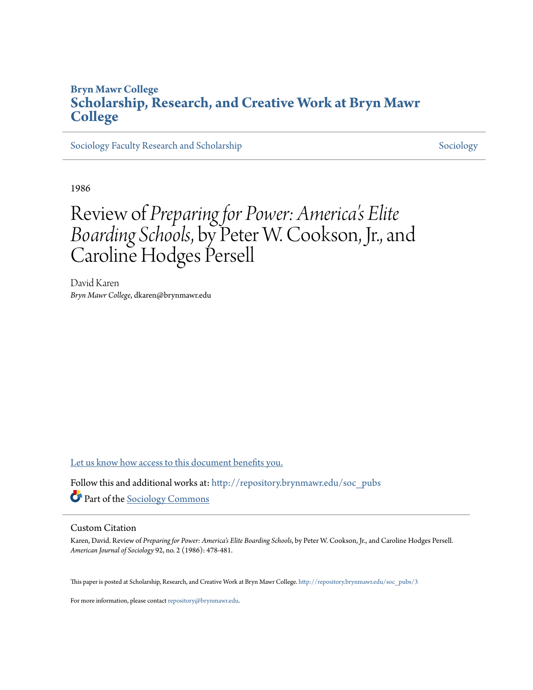# **Bryn Mawr College [Scholarship, Research, and Creative Work at Bryn Mawr](http://repository.brynmawr.edu?utm_source=repository.brynmawr.edu%2Fsoc_pubs%2F3&utm_medium=PDF&utm_campaign=PDFCoverPages) [College](http://repository.brynmawr.edu?utm_source=repository.brynmawr.edu%2Fsoc_pubs%2F3&utm_medium=PDF&utm_campaign=PDFCoverPages)**

[Sociology Faculty Research and Scholarship](http://repository.brynmawr.edu/soc_pubs?utm_source=repository.brynmawr.edu%2Fsoc_pubs%2F3&utm_medium=PDF&utm_campaign=PDFCoverPages) [Sociology](http://repository.brynmawr.edu/sociology?utm_source=repository.brynmawr.edu%2Fsoc_pubs%2F3&utm_medium=PDF&utm_campaign=PDFCoverPages) Sociology Sociology

1986

# Review of *Preparing for Power: America 's Elite Boarding Schools*, by Peter W. Cookson, Jr., and Caroline Hodges Persell

David Karen *Bryn Mawr College*, dkaren@brynmawr.edu

[Let us know how access to this document benefits you.](http://repository.brynmawr.edu/open-access-feedback.html)

Follow this and additional works at: [http://repository.brynmawr.edu/soc\\_pubs](http://repository.brynmawr.edu/soc_pubs?utm_source=repository.brynmawr.edu%2Fsoc_pubs%2F3&utm_medium=PDF&utm_campaign=PDFCoverPages) Part of the [Sociology Commons](http://network.bepress.com/hgg/discipline/416?utm_source=repository.brynmawr.edu%2Fsoc_pubs%2F3&utm_medium=PDF&utm_campaign=PDFCoverPages)

# Custom Citation

Karen, David. Review of *Preparing for Power: America's Elite Boarding Schools*, by Peter W. Cookson, Jr., and Caroline Hodges Persell. *American Journal of Sociology* 92, no. 2 (1986): 478-481.

This paper is posted at Scholarship, Research, and Creative Work at Bryn Mawr College. [http://repository.brynmawr.edu/soc\\_pubs/3](http://repository.brynmawr.edu/soc_pubs/3)

For more information, please contact [repository@brynmawr.edu](mailto:repository@brynmawr.edu).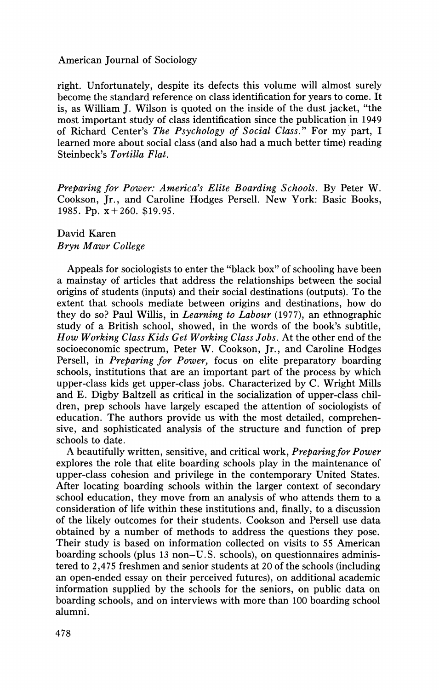#### American Journal of Sociology

right. Unfortunately, despite its defects this volume will almost surely become the standard reference on class identification for years to come. It is, as William J. Wilson is quoted on the inside of the dust jacket, "the most important study of class identification since the publication in 1949 of Richard Center's The Psychology of Social Class." For my part, I learned more about social class (and also had a much better time) reading Steinbeck's Tortilla Flat.

Preparing for Power: America's Elite Boarding Schools. By Peter W. Cookson, Jr., and Caroline Hodges Persell. New York: Basic Books, 1985. Pp. x+260. \$19.95.

# David Karen Bryn Mawr College

Appeals for sociologists to enter the "black box" of schooling have been a mainstay of articles that address the relationships between the social origins of students (inputs) and their social destinations (outputs). To the extent that schools mediate between origins and destinations, how do they do so? Paul Willis, in Learning to Labour (1977), an ethnographic study of a British school, showed, in the words of the book's subtitle, How Working Class Kids Get Working Class Jobs. At the other end of the socioeconomic spectrum, Peter W. Cookson, Jr., and Caroline Hodges Persell, in *Preparing for Power*, focus on elite preparatory boarding schools, institutions that are an important part of the process by which upper-class kids get upper-class jobs. Characterized by C. Wright Mills and E. Digby Baltzell as critical in the socialization of upper-class children, prep schools have largely escaped the attention of sociologists of education. The authors provide us with the most detailed, comprehensive, and sophisticated analysis of the structure and function of prep schools to date.

A beautifully written, sensitive, and critical work, Preparing for Power explores the role that elite boarding schools play in the maintenance of upper-class cohesion and privilege in the contemporary United States. After locating boarding schools within the larger context of secondary school education, they move from an analysis of who attends them to a consideration of life within these institutions and, finally, to a discussion of the likely outcomes for their students. Cookson and Persell use data obtained by a number of methods to address the questions they pose. Their study is based on information collected on visits to 55 American boarding schools (plus 13 non-U.S. schools), on questionnaires administered to 2,475 freshmen and senior students at 20 of the schools (including an open-ended essay on their perceived futures), on additional academic information supplied by the schools for the seniors, on public data on boarding schools, and on interviews with more than 100 boarding school alumni.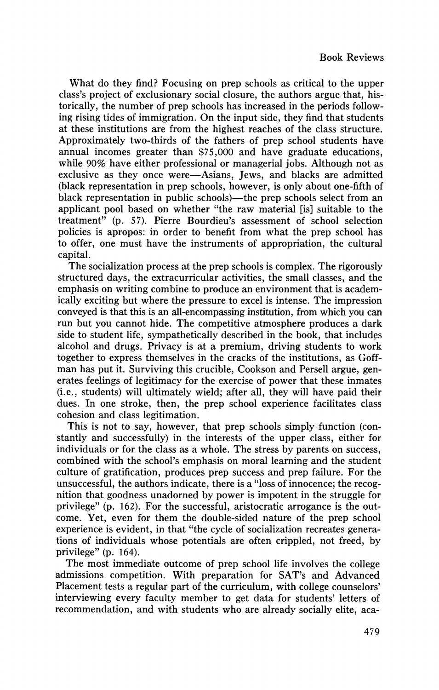What do they find? Focusing on prep schools as critical to the upper class's project of exclusionary social closure, the authors argue that, historically, the number of prep schools has increased in the periods following rising tides of immigration. On the input side, they find that students at these institutions are from the highest reaches of the class structure. Approximately two-thirds of the fathers of prep school students have annual incomes greater than \$75,000 and have graduate educations, while 90% have either professional or managerial jobs. Although not as exclusive as they once were—Asians, Jews, and blacks are admitted (black representation in prep schools, however, is only about one-fifth of black representation in public schools)—the prep schools select from an applicant pool based on whether "the raw material [is] suitable to the treatment" (p. 57). Pierre Bourdieu's assessment of school selection policies is apropos: in order to benefit from what the prep school has to offer, one must have the instruments of appropriation, the cultural capital.

The socialization process at the prep schools is complex. The rigorously structured days, the extracurricular activities, the small classes, and the emphasis on writing combine to produce an environment that is academically exciting but where the pressure to excel is intense. The impression conveyed is that this is an all-encompassing institution, from which you can run but you cannot hide. The competitive atmosphere produces a dark side to student life, sympathetically described in the book, that includes alcohol and drugs. Privacy is at a premium, driving students to work together to express themselves in the cracks of the institutions, as Goffman has put it. Surviving this crucible, Cookson and Persell argue, generates feelings of legitimacy for the exercise of power that these inmates (i.e., students) will ultimately wield; after all, they will have paid their dues. In one stroke, then, the prep school experience facilitates class cohesion and class legitimation.

This is not to say, however, that prep schools simply function (constantly and successfully) in the interests of the upper class, either for individuals or for the class as a whole. The stress by parents on success, combined with the school's emphasis on moral learning and the student culture of gratification, produces prep success and prep failure. For the unsuccessful, the authors indicate, there is a "loss of innocence; the recognition that goodness unadorned by power is impotent in the struggle for privilege" (p. 162). For the successful, aristocratic arrogance is the outcome. Yet, even for them the double-sided nature of the prep school experience is evident, in that "the cycle of socialization recreates generations of individuals whose potentials are often crippled, not freed, by privilege" (p. 164).

The most immediate outcome of prep school life involves the college admissions competition. With preparation for SAT's and Advanced Placement tests a regular part of the curriculum, with college counselors' interviewing every faculty member to get data for students' letters of recommendation, and with students who are already socially elite, aca-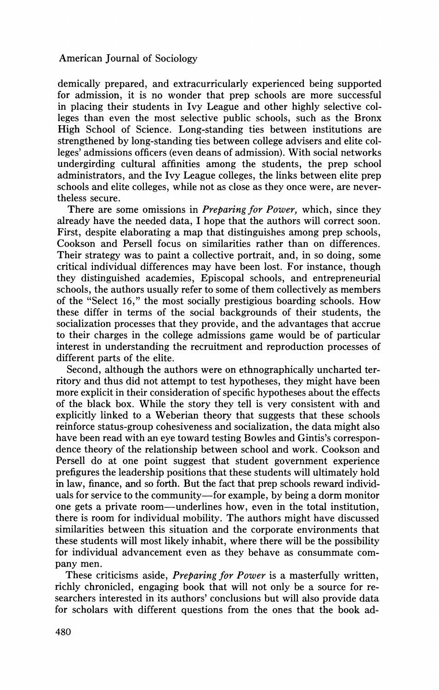### American Journal of Sociology

demically prepared, and extracurricularly experienced being supported for admission, it is no wonder that prep schools are more successful in placing their students in Ivy League and other highly selective colleges than even the most selective public schools, such as the Bronx High School of Science. Long-standing ties between institutions are strengthened by long-standing ties between college advisers and elite colleges' admissions officers (even deans of admission). With social networks undergirding cultural affinities among the students, the prep school administrators, and the Ivy League colleges, the links between elite prep schools and elite colleges, while not as close as they once were, are nevertheless secure.

There are some omissions in *Preparing for Power*, which, since they already have the needed data, I hope that the authors will correct soon. First, despite elaborating a map that distinguishes among prep schools, Cookson and Persell focus on similarities rather than on differences. Their strategy was to paint a collective portrait, and, in so doing, some critical individual differences may have been lost. For instance, though they distinguished academies, Episcopal schools, and entrepreneurial schools, the authors usually refer to some of them collectively as members of the "Select 16," the most socially prestigious boarding schools. How these differ in terms of the social backgrounds of their students, the socialization processes that they provide, and the advantages that accrue to their charges in the college admissions game would be of particular interest in understanding the recruitment and reproduction processes of different parts of the elite.

Second, although the authors were on ethnographically uncharted territory and thus did not attempt to test hypotheses, they might have been more explicit in their consideration of specific hypotheses about the effects of the black box. While the story they tell is very consistent with and explicitly linked to a Weberian theory that suggests that these schools reinforce status-group cohesiveness and socialization, the data might also have been read with an eye toward testing Bowles and Gintis's correspondence theory of the relationship between school and work. Cookson and Persell do at one point suggest that student government experience prefigures the leadership positions that these students will ultimately hold in law, finance, and so forth. But the fact that prep schools reward individuals for service to the community—for example, by being a dorm monitor one gets a private room-underlines how, even in the total institution, there is room for individual mobility. The authors might have discussed similarities between this situation and the corporate environments that these students will most likely inhabit, where there will be the possibility for individual advancement even as they behave as consummate company men.

These criticisms aside, *Preparing for Power* is a masterfully written, richly chronicled, engaging book that will not only be a source for researchers interested in its authors' conclusions but will also provide data for scholars with different questions from the ones that the book ad